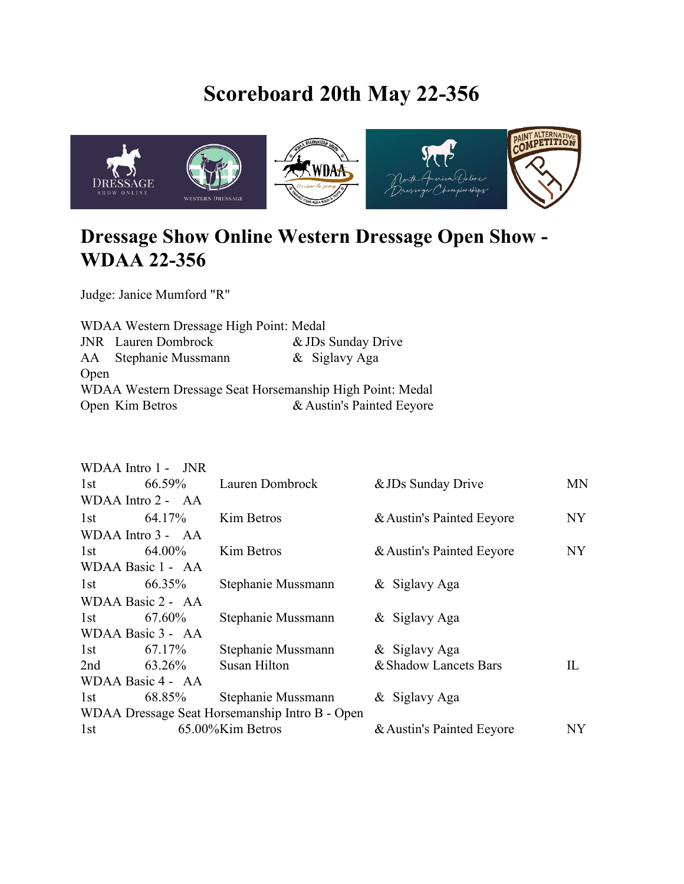## **Scoreboard 20th May 22-356**



## **Dressage Show Online Western Dressage Open Show - WDAA 22-356**

Judge: Janice Mumford "R"

WDAA Western Dressage High Point: Medal JNR Lauren Dombrock & JDs Sunday Drive AA Stephanie Mussmann & Siglavy Aga Open WDAA Western Dressage Seat Horsemanship High Point: Medal Open Kim Betros & Austin's Painted Eeyore

|                         | WDAA Intro 1 - JNR |                                                |                           |           |
|-------------------------|--------------------|------------------------------------------------|---------------------------|-----------|
| 1st                     | 66.59%             | Lauren Dombrock                                | & JDs Sunday Drive        | <b>MN</b> |
|                         | WDAA Intro 2 - AA  |                                                |                           |           |
| 1st                     | 64.17%             | Kim Betros                                     | & Austin's Painted Eeyore | NY        |
|                         | WDAA Intro 3 - AA  |                                                |                           |           |
| 1st                     | 64.00%             | Kim Betros                                     | & Austin's Painted Eeyore | NY        |
|                         | WDAA Basic 1 - AA  |                                                |                           |           |
| 1st                     | 66.35%             | Stephanie Mussmann                             | & Siglavy Aga             |           |
|                         | WDAA Basic 2 - AA  |                                                |                           |           |
| 1st                     | 67.60%             | Stephanie Mussmann                             | & Siglavy Aga             |           |
|                         | WDAA Basic 3 - AA  |                                                |                           |           |
| 1st                     | 67.17%             | Stephanie Mussmann                             | & Siglavy Aga             |           |
| 2nd                     | 63.26%             | Susan Hilton                                   | & Shadow Lancets Bars     | IL        |
|                         | WDAA Basic 4 - AA  |                                                |                           |           |
| 1st                     | 68.85%             | Stephanie Mussmann                             | & Siglavy Aga             |           |
|                         |                    | WDAA Dressage Seat Horsemanship Intro B - Open |                           |           |
| 65.00%Kim Betros<br>1st |                    |                                                | & Austin's Painted Eeyore | NY        |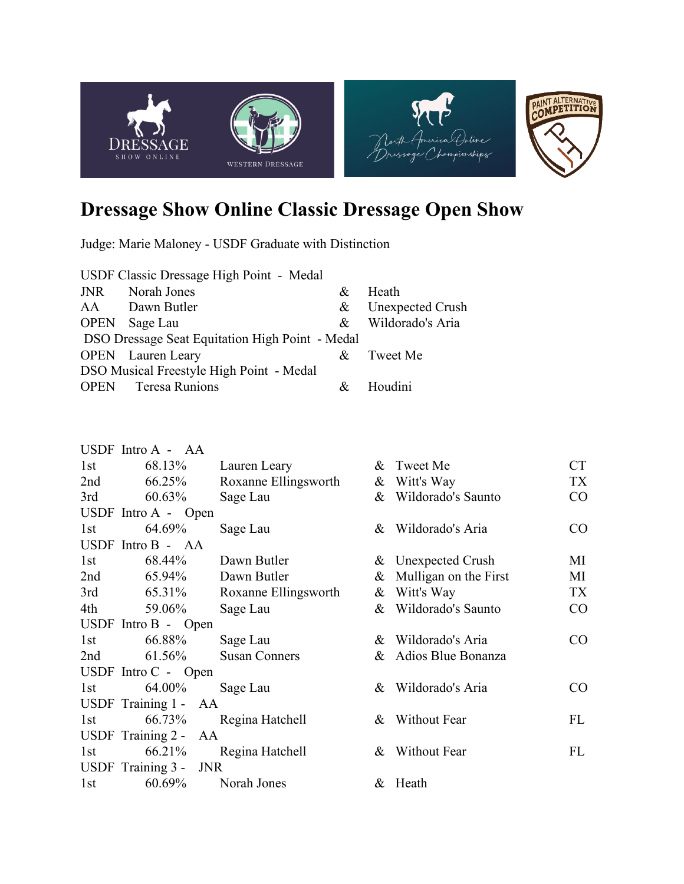

## **Dressage Show Online Classic Dressage Open Show**

Judge: Marie Maloney - USDF Graduate with Distinction

| USDF Classic Dressage High Point - Medal        |                            |   |                         |  |  |
|-------------------------------------------------|----------------------------|---|-------------------------|--|--|
| JNR                                             | Norah Jones                | & | Heath                   |  |  |
|                                                 | AA Dawn Butler             | & | <b>Unexpected Crush</b> |  |  |
| <b>OPEN</b>                                     | Sage Lau                   |   | & Wildorado's Aria      |  |  |
| DSO Dressage Seat Equitation High Point - Medal |                            |   |                         |  |  |
|                                                 | <b>OPEN</b> Lauren Leary   |   | & Tweet Me              |  |  |
| DSO Musical Freestyle High Point - Medal        |                            |   |                         |  |  |
|                                                 | <b>OPEN</b> Teresa Runions |   | Houdini                 |  |  |

|                       | USDF Intro A - AA     |                      |   |                       |           |
|-----------------------|-----------------------|----------------------|---|-----------------------|-----------|
| 1st                   | 68.13%                | Lauren Leary         |   | & Tweet Me            | <b>CT</b> |
| 2nd                   | 66.25%                | Roxanne Ellingsworth | & | Witt's Way            | TX        |
| 3rd                   | 60.63%                | Sage Lau             |   | & Wildorado's Saunto  | CO        |
|                       | USDF Intro $A -$ Open |                      |   |                       |           |
| 1st                   | 64.69%                | Sage Lau             |   | & Wildorado's Aria    | $\rm CO$  |
|                       | USDF Intro B - AA     |                      |   |                       |           |
| 1st                   | 68.44%                | Dawn Butler          |   | & Unexpected Crush    | MI        |
| 2nd                   | 65.94%                | Dawn Butler          | & | Mulligan on the First | MI        |
| 3rd                   | 65.31%                | Roxanne Ellingsworth | & | Witt's Way            | TX        |
| 4th                   | 59.06%                | Sage Lau             |   | & Wildorado's Saunto  | CO        |
| USDF Intro $B -$ Open |                       |                      |   |                       |           |
| 1st                   | 66.88%                | Sage Lau             |   | & Wildorado's Aria    | CO        |
| 2nd                   | 61.56%                | <b>Susan Conners</b> |   | & Adios Blue Bonanza  |           |
| USDF Intro $C -$ Open |                       |                      |   |                       |           |
| 1st                   | 64.00%                | Sage Lau             |   | & Wildorado's Aria    | $\rm CO$  |
|                       | USDF Training 1 -     | AA                   |   |                       |           |
| 1st                   | 66.73%                | Regina Hatchell      |   | & Without Fear        | FL        |
|                       | USDF Training 2 - AA  |                      |   |                       |           |
| 1st                   | 66.21%                | Regina Hatchell      |   | & Without Fear        | FL        |
|                       | USDF Training 3 -     | <b>JNR</b>           |   |                       |           |
| 1st                   | 60.69%                | Norah Jones          |   | & Heath               |           |